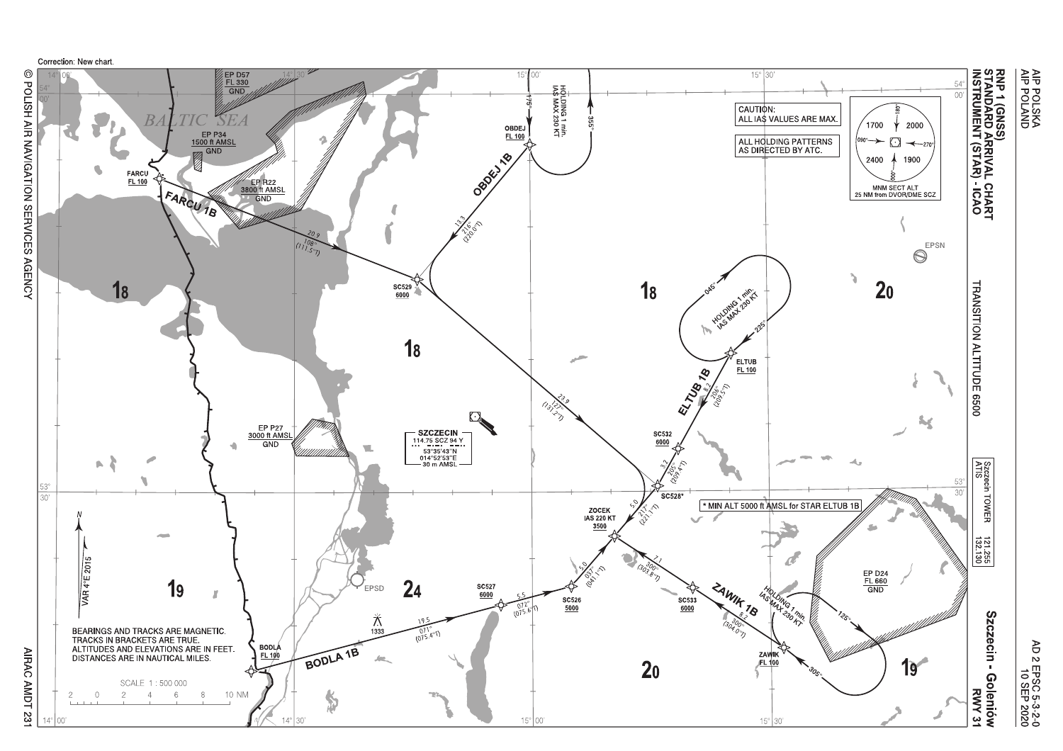

O POLISH AIR NAVIGATION SERVICES AGENCY

**AMDT 231**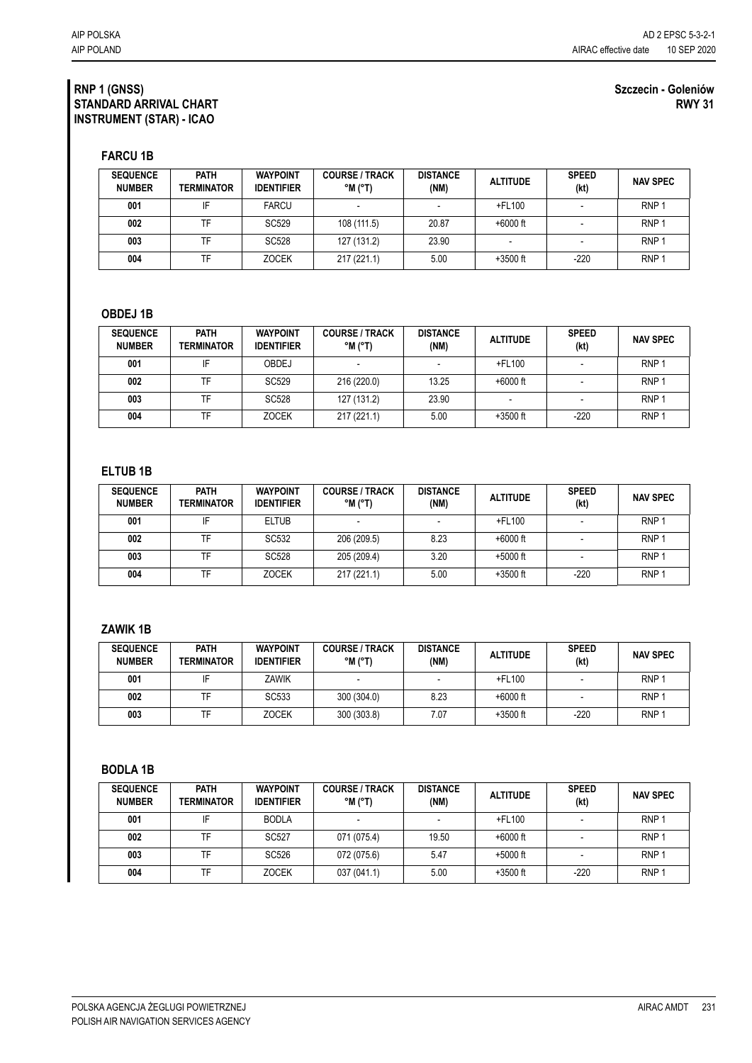#### **RNP 1 (GNSS) STANDARD ARRIVAL CHART INSTRUMENT (STAR) - ICAO**

#### **Szczecin - Goleniów RWY 31**

**FARCU 1B**

| <b>SEQUENCE</b><br><b>NUMBER</b> | <b>PATH</b><br><b>TERMINATOR</b> | <b>WAYPOINT</b><br><b>IDENTIFIER</b> | <b>COURSE / TRACK</b><br>°M (°T) | <b>DISTANCE</b><br>(NM) | <b>ALTITUDE</b> | <b>SPEED</b><br>(kt) | <b>NAV SPEC</b>  |
|----------------------------------|----------------------------------|--------------------------------------|----------------------------------|-------------------------|-----------------|----------------------|------------------|
| 001                              |                                  | <b>FARCU</b>                         |                                  |                         | $+$ FL100       |                      | RNP <sub>1</sub> |
| 002                              | TF                               | SC <sub>529</sub>                    | 108 (111.5)                      | 20.87                   | $+6000$ ft      |                      | RNP <sub>1</sub> |
| 003                              | TF                               | SC528                                | 127 (131.2)                      | 23.90                   |                 |                      | RNP <sup>-</sup> |
| 004                              | TF                               | <b>ZOCEK</b>                         | 217 (221.1)                      | 5.00                    | $+3500$ ft      | $-220$               | RNP <sup>-</sup> |

## **OBDEJ 1B**

| <b>SEQUENCE</b><br><b>NUMBER</b> | <b>PATH</b><br>TERMINATOR | <b>WAYPOINT</b><br><b>IDENTIFIER</b> | <b>COURSE / TRACK</b><br>$^{\circ}$ M ( $^{\circ}$ T) | <b>DISTANCE</b><br>(NM) | <b>ALTITUDE</b> | <b>SPEED</b><br>(kt) | <b>NAV SPEC</b>  |
|----------------------------------|---------------------------|--------------------------------------|-------------------------------------------------------|-------------------------|-----------------|----------------------|------------------|
| 001                              | IF                        | OBDEJ                                |                                                       |                         | $+$ FL100       |                      | RNP <sub>1</sub> |
| 002                              | TF                        | SC <sub>529</sub>                    | 216 (220.0)                                           | 13.25                   | $+6000$ ft      |                      | RNP <sub>1</sub> |
| 003                              | TF                        | SC528                                | 127 (131.2)                                           | 23.90                   |                 |                      | RNP <sub>1</sub> |
| 004                              | TF                        | <b>ZOCEK</b>                         | 217 (221.1)                                           | 5.00                    | $+3500$ ft      | -220                 | RNP <sub>1</sub> |

#### **ELTUB 1B**

| <b>SEQUENCE</b><br><b>NUMBER</b> | <b>PATH</b><br>TERMINATOR | <b>WAYPOINT</b><br><b>IDENTIFIER</b> | <b>COURSE / TRACK</b><br>$^{\circ}$ M ( $^{\circ}$ T) | <b>DISTANCE</b><br>(NM) | <b>ALTITUDE</b> | <b>SPEED</b><br>(kt) | <b>NAV SPEC</b>  |
|----------------------------------|---------------------------|--------------------------------------|-------------------------------------------------------|-------------------------|-----------------|----------------------|------------------|
| 001                              | IF                        | <b>ELTUB</b>                         |                                                       |                         | $+$ FL100       |                      | RNP <sub>1</sub> |
| 002                              | TF                        | SC532                                | 206 (209.5)                                           | 8.23                    | $+6000$ ft      |                      | RNP <sub>1</sub> |
| 003                              | TF                        | <b>SC528</b>                         | 205 (209.4)                                           | 3.20                    | $+5000$ ft      |                      | RNP <sub>1</sub> |
| 004                              | TF                        | <b>ZOCEK</b>                         | 217 (221.1)                                           | 5.00                    | $+3500$ ft      | -220                 | RNP <sub>1</sub> |

# **ZAWIK 1B**

| <b>SEQUENCE</b><br><b>NUMBER</b> | <b>PATH</b><br><b>TERMINATOR</b> | <b>WAYPOINT</b><br><b>IDENTIFIER</b> | <b>COURSE / TRACK</b><br>$^{\circ}$ M ( $^{\circ}$ T) | <b>DISTANCE</b><br>(NM) | <b>ALTITUDE</b> | <b>SPEED</b><br>(kt) | <b>NAV SPEC</b>  |
|----------------------------------|----------------------------------|--------------------------------------|-------------------------------------------------------|-------------------------|-----------------|----------------------|------------------|
| 001                              |                                  | ZAWIK                                |                                                       |                         | $+$ FL100       |                      | RNP'             |
| 002                              |                                  | SC <sub>533</sub>                    | 300 (304.0)                                           | 8.23                    | $+6000$ ft      |                      | RNP <sup>-</sup> |
| 003                              |                                  | <b>ZOCEK</b>                         | 300 (303.8)                                           | 7.07                    | $+3500$ ft      | $-220$               | RNP <sub>1</sub> |

### **BODLA 1B**

| <b>SEQUENCE</b><br><b>NUMBER</b> | <b>PATH</b><br><b>TERMINATOR</b> | <b>WAYPOINT</b><br><b>IDENTIFIER</b> | <b>COURSE / TRACK</b><br>$^{\circ}$ M ( $^{\circ}$ T) | <b>DISTANCE</b><br>(NM) | <b>ALTITUDE</b> | <b>SPEED</b><br>(kt) | <b>NAV SPEC</b>  |
|----------------------------------|----------------------------------|--------------------------------------|-------------------------------------------------------|-------------------------|-----------------|----------------------|------------------|
| 001                              |                                  | <b>BODLA</b>                         |                                                       |                         | +FL100          |                      | RNP <sub>1</sub> |
| 002                              | TF                               | SC527                                | 071 (075.4)                                           | 19.50                   | $+6000$ ft      |                      | RNP <sub>1</sub> |
| 003                              | TF                               | SC <sub>526</sub>                    | 072 (075.6)                                           | 5.47                    | $+5000$ ft      |                      | RNP <sub>1</sub> |
| 004                              | TF                               | <b>ZOCEK</b>                         | 037 (041.1)                                           | 5.00                    | $+3500$ ft      | $-220$               | RNP <sub>1</sub> |